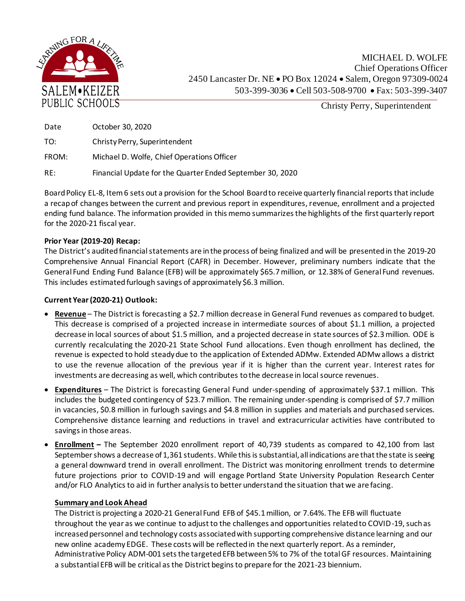

| Date  | October 30, 2020                           |
|-------|--------------------------------------------|
| TO:   | Christy Perry, Superintendent              |
| FROM: | Michael D. Wolfe, Chief Operations Officer |

RE: Financial Update for the Quarter Ended September 30, 2020

Board Policy EL-8, Item 6 sets out a provision for the School Board to receive quarterly financial reports that include a recap of changes between the current and previous report in expenditures, revenue, enrollment and a projected ending fund balance. The information provided in this memo summarizes the highlights of the first quarterly report for the 2020-21 fiscal year.

## **Prior Year (2019-20) Recap:**

The District's audited financial statements are in the process of being finalized and will be presented in the 2019-20 Comprehensive Annual Financial Report (CAFR) in December. However, preliminary numbers indicate that the General Fund Ending Fund Balance (EFB) will be approximately \$65.7million, or 12.38% of General Fund revenues. This includes estimated furlough savings of approximately \$6.3 million.

## **Current Year (2020-21) Outlook:**

- **Revenue** The District is forecasting a \$2.7 million decrease in General Fund revenues as compared to budget. This decrease is comprised of a projected increase in intermediate sources of about \$1.1 million, a projected decrease in local sources of about \$1.5 million, and a projected decrease in state sources of \$2.3million. ODE is currently recalculating the 2020-21 State School Fund allocations. Even though enrollment has declined, the revenue is expected to hold steady due to the application of Extended ADMw. Extended ADMw allows a district to use the revenue allocation of the previous year if it is higher than the current year. Interest rates for investments are decreasing as well, which contributes to the decrease in local source revenues.
- **Expenditures** The District is forecasting General Fund under-spending of approximately \$37.1 million. This includes the budgeted contingency of \$23.7 million. The remaining under-spending is comprised of \$7.7 million in vacancies, \$0.8 million in furlough savings and \$4.8 million in supplies and materials and purchased services. Comprehensive distance learning and reductions in travel and extracurricular activities have contributed to savings in those areas.
- **Enrollment –** The September 2020 enrollment report of 40,739 students as compared to 42,100 from last September shows a decrease of 1,361 students. While this is substantial, all indications are that the state is seeing a general downward trend in overall enrollment. The District was monitoring enrollment trends to determine future projections prior to COVID-19 and will engage Portland State University Population Research Center and/or FLO Analytics to aid in further analysis to better understand the situation that we are facing.

## **Summary and Look Ahead**

The District is projecting a 2020-21 General Fund EFB of \$45.1million, or 7.64%. The EFB will fluctuate throughout the year as we continue to adjust to the challenges and opportunities related to COVID-19, such as increased personnel and technology costs associated with supporting comprehensive distance learning and our new online academy EDGE. These costs will be reflected in the next quarterly report. As a reminder, Administrative Policy ADM-001 sets the targeted EFB between 5% to 7% of the total GF resources. Maintaining a substantial EFB will be critical as the District begins to prepare for the 2021-23 biennium.